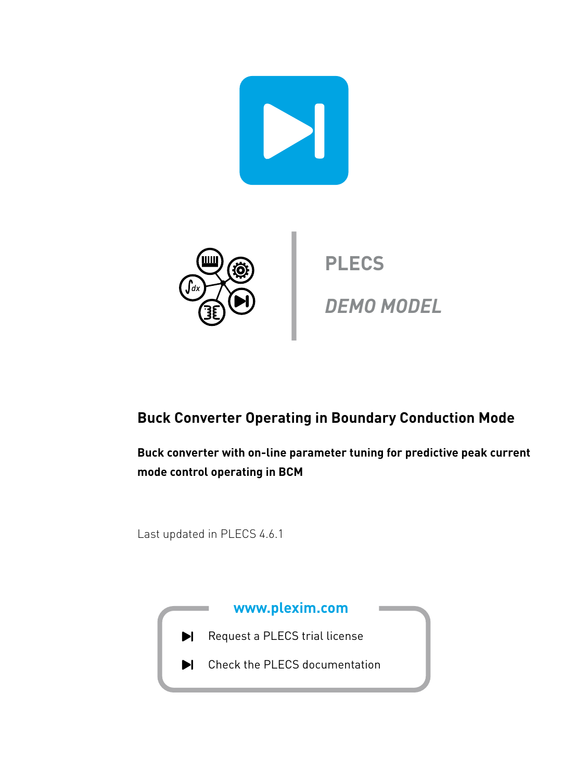



**PLECS**

**DEMO MODEL**

## **Buck Converter Operating in Boundary Conduction Mode**

**Buck converter with on-line parameter tuning for predictive peak current mode control operating in BCM**

Last updated in PLECS 4.6.1

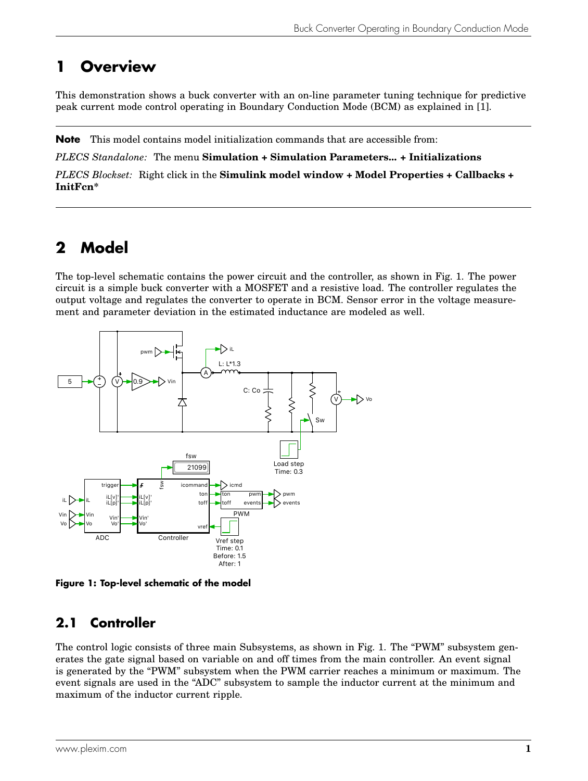# **1 Overview**

This demonstration shows a buck converter with an on-line parameter tuning technique for predictive peak current mode control operating in Boundary Conduction Mode (BCM) as explained in [\[1\]](#page-5-0).

**Note** This model contains model initialization commands that are accessible from:

*PLECS Standalone:* The menu **Simulation + Simulation Parameters... + Initializations**

*PLECS Blockset:* Right click in the **Simulink model window + Model Properties + Callbacks + InitFcn\***

# **2 Model**

The top-level schematic contains the power circuit and the controller, as shown in Fig. [1.](#page-1-0) The power circuit is a simple buck converter with a MOSFET and a resistive load. The controller regulates the output voltage and regulates the converter to operate in BCM. Sensor error in the voltage measurement and parameter deviation in the estimated inductance are modeled as well.

<span id="page-1-0"></span>

**Figure 1: Top-level schematic of the model**

## **2.1 Controller**

The control logic consists of three main Subsystems, as shown in Fig. [1.](#page-1-0) The "PWM" subsystem generates the gate signal based on variable on and off times from the main controller. An event signal is generated by the "PWM" subsystem when the PWM carrier reaches a minimum or maximum. The event signals are used in the "ADC" subsystem to sample the inductor current at the minimum and maximum of the inductor current ripple.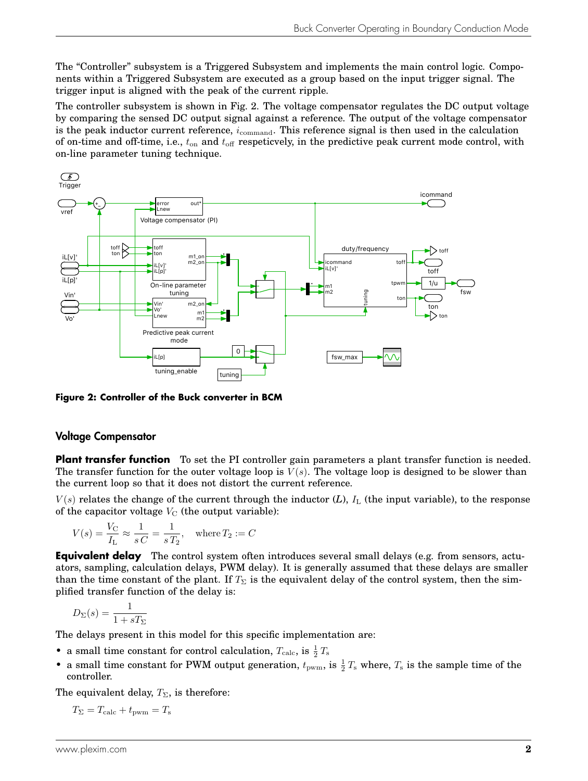The "Controller" subsystem is a Triggered Subsystem and implements the main control logic. Components within a Triggered Subsystem are executed as a group based on the input trigger signal. The trigger input is aligned with the peak of the current ripple.

The controller subsystem is shown in Fig. [2.](#page-2-0) The voltage compensator regulates the DC output voltage by comparing the sensed DC output signal against a reference. The output of the voltage compensator is the peak inductor current reference,  $i_{\text{command}}$ . This reference signal is then used in the calculation of on-time and off-time, i.e.,  $t_{on}$  and  $t_{off}$  respeticvely, in the predictive peak current mode control, with on-line parameter tuning technique.

<span id="page-2-0"></span>

**Figure 2: Controller of the Buck converter in BCM**

### Voltage Compensator

**Plant transfer function** To set the PI controller gain parameters a plant transfer function is needed. The transfer function for the outer voltage loop is  $V(s)$ . The voltage loop is designed to be slower than the current loop so that it does not distort the current reference.

 $V(s)$  relates the change of the current through the inductor  $(L)$ ,  $I<sub>L</sub>$  (the input variable), to the response of the capacitor voltage  $V_{\text{C}}$  (the output variable):

$$
V(s) = \frac{V_{\rm C}}{I_{\rm L}} \approx \frac{1}{sC} = \frac{1}{sT_2}, \quad \text{where } T_2 := C
$$

**Equivalent delay** The control system often introduces several small delays (e.g. from sensors, actuators, sampling, calculation delays, PWM delay). It is generally assumed that these delays are smaller than the time constant of the plant. If  $T_{\Sigma}$  is the equivalent delay of the control system, then the simplified transfer function of the delay is:

$$
D_{\Sigma}(s) = \frac{1}{1 + sT_{\Sigma}}
$$

The delays present in this model for this specific implementation are:

- a small time constant for control calculation,  $T_{\text{calc}}$ , is  $\frac{1}{2}T_{\text{s}}$
- a small time constant for PWM output generation,  $t_{\text{pwm}}$ , is  $\frac{1}{2}T_s$  where,  $T_s$  is the sample time of the controller.

The equivalent delay,  $T_{\Sigma}$ , is therefore:

 $T_{\Sigma} = T_{\text{calc}} + t_{\text{pwm}} = T_{\text{s}}$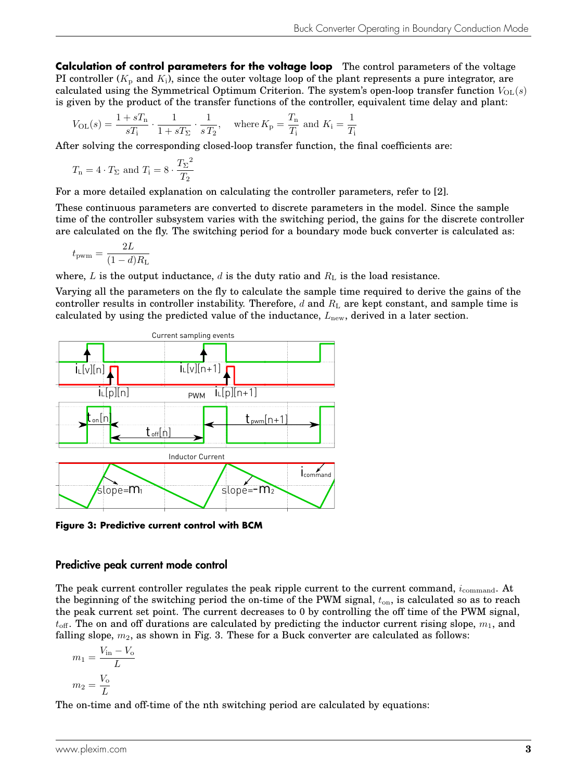**Calculation of control parameters for the voltage loop** The control parameters of the voltage PI controller  $(K_p \text{ and } K_i)$ , since the outer voltage loop of the plant represents a pure integrator, are calculated using the Symmetrical Optimum Criterion. The system's open-loop transfer function  $V_{OL}(s)$ is given by the product of the transfer functions of the controller, equivalent time delay and plant:

$$
V_{\text{OL}}(s) = \frac{1 + sT_{\text{n}}}{sT_{\text{i}}} \cdot \frac{1}{1 + sT_{\Sigma}} \cdot \frac{1}{sT_{2}}, \quad \text{where } K_{\text{p}} = \frac{T_{\text{n}}}{T_{\text{i}}} \text{ and } K_{\text{i}} = \frac{1}{T_{\text{i}}}
$$

After solving the corresponding closed-loop transfer function, the final coefficients are:

$$
T_{\rm n} = 4 \cdot T_{\Sigma}
$$
 and  $T_{\rm i} = 8 \cdot \frac{T_{\Sigma}^2}{T_2}$ 

For a more detailed explanation on calculating the controller parameters, refer to [\[2\]](#page-5-1).

These continuous parameters are converted to discrete parameters in the model. Since the sample time of the controller subsystem varies with the switching period, the gains for the discrete controller are calculated on the fly. The switching period for a boundary mode buck converter is calculated as:

$$
t_{\rm{pwm}} = \frac{2L}{(1-d)R_{\rm{L}}}
$$

where, L is the output inductance, d is the duty ratio and  $R<sub>L</sub>$  is the load resistance.

Varying all the parameters on the fly to calculate the sample time required to derive the gains of the controller results in controller instability. Therefore,  $d$  and  $R<sub>L</sub>$  are kept constant, and sample time is calculated by using the predicted value of the inductance,  $L_{\text{new}}$ , derived in a later section.

<span id="page-3-0"></span>

**Figure 3: Predictive current control with BCM**

### Predictive peak current mode control

The peak current controller regulates the peak ripple current to the current command,  $i_{\text{command}}$ . At the beginning of the switching period the on-time of the PWM signal,  $t_{on}$ , is calculated so as to reach the peak current set point. The current decreases to 0 by controlling the off time of the PWM signal,  $t_{\text{off}}$ . The on and off durations are calculated by predicting the inductor current rising slope,  $m_1$ , and falling slope,  $m_2$ , as shown in Fig. [3.](#page-3-0) These for a Buck converter are calculated as follows:

$$
m_1 = \frac{V_{\text{in}} - V_{\text{o}}}{L}
$$

$$
m_2 = \frac{V_{\text{o}}}{L}
$$

The on-time and off-time of the nth switching period are calculated by equations: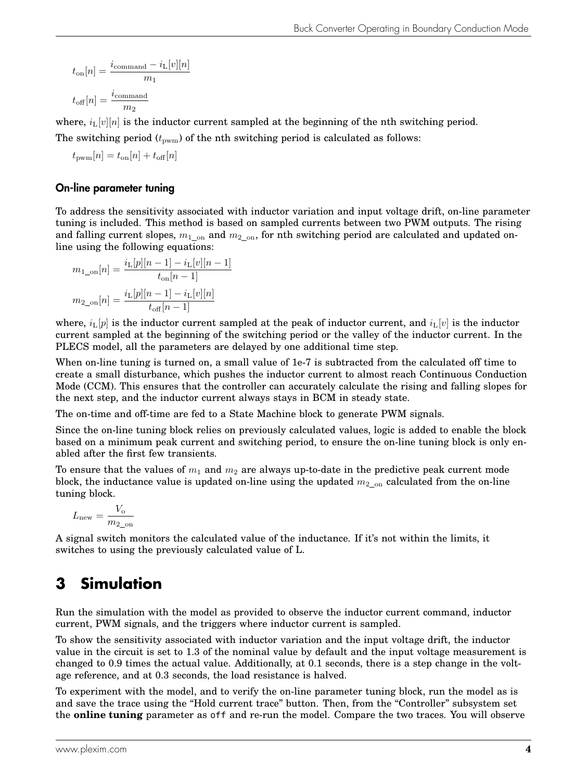$$
t_{\text{on}}[n] = \frac{i_{\text{command}} - i_{\text{L}}[v][n]}{m_1}
$$

$$
t_{\text{off}}[n] = \frac{i_{\text{command}}}{m_2}
$$

where,  $i_L[v][n]$  is the inductor current sampled at the beginning of the nth switching period.

The switching period  $(t_{\text{pwm}})$  of the nth switching period is calculated as follows:

$$
t_{\rm{pwm}}[n] = t_{\rm{on}}[n] + t_{\rm{off}}[n]
$$

### On-line parameter tuning

To address the sensitivity associated with inductor variation and input voltage drift, on-line parameter tuning is included. This method is based on sampled currents between two PWM outputs. The rising and falling current slopes,  $m_1$ <sub>on</sub> and  $m_2$ <sub>on</sub>, for nth switching period are calculated and updated online using the following equations:

$$
m_{1\_\text{on}}[n] = \frac{i_{\text{L}}[p][n-1] - i_{\text{L}}[v][n-1]}{t_{\text{on}}[n-1]}
$$

$$
m_{2\_\text{on}}[n] = \frac{i_{\text{L}}[p][n-1] - i_{\text{L}}[v][n]}{t_{\text{off}}[n-1]}
$$

where,  $i_L[p]$  is the inductor current sampled at the peak of inductor current, and  $i_L[v]$  is the inductor current sampled at the beginning of the switching period or the valley of the inductor current. In the PLECS model, all the parameters are delayed by one additional time step.

When on-line tuning is turned on, a small value of 1e-7 is subtracted from the calculated off time to create a small disturbance, which pushes the inductor current to almost reach Continuous Conduction Mode (CCM). This ensures that the controller can accurately calculate the rising and falling slopes for the next step, and the inductor current always stays in BCM in steady state.

The on-time and off-time are fed to a State Machine block to generate PWM signals.

Since the on-line tuning block relies on previously calculated values, logic is added to enable the block based on a minimum peak current and switching period, to ensure the on-line tuning block is only enabled after the first few transients.

To ensure that the values of  $m_1$  and  $m_2$  are always up-to-date in the predictive peak current mode block, the inductance value is updated on-line using the updated  $m_2_{\text{on}}$  calculated from the on-line tuning block.

$$
L_{\text{new}} = \frac{V_{\text{o}}}{m_{2\_ \text{on}}}
$$

A signal switch monitors the calculated value of the inductance. If it's not within the limits, it switches to using the previously calculated value of L.

# **3 Simulation**

Run the simulation with the model as provided to observe the inductor current command, inductor current, PWM signals, and the triggers where inductor current is sampled.

To show the sensitivity associated with inductor variation and the input voltage drift, the inductor value in the circuit is set to 1.3 of the nominal value by default and the input voltage measurement is changed to 0.9 times the actual value. Additionally, at 0.1 seconds, there is a step change in the voltage reference, and at 0.3 seconds, the load resistance is halved.

To experiment with the model, and to verify the on-line parameter tuning block, run the model as is and save the trace using the "Hold current trace" button. Then, from the "Controller" subsystem set the **online tuning** parameter as off and re-run the model. Compare the two traces. You will observe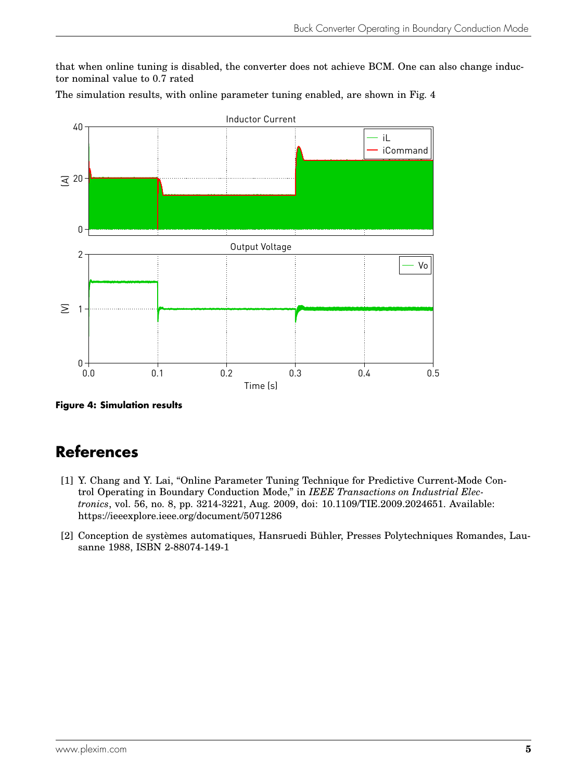that when online tuning is disabled, the converter does not achieve BCM. One can also change inductor nominal value to 0.7 rated

The simulation results, with online parameter tuning enabled, are shown in Fig. [4](#page-5-2)

<span id="page-5-2"></span>

**Figure 4: Simulation results**

# **References**

- <span id="page-5-0"></span>[1] Y. Chang and Y. Lai, "Online Parameter Tuning Technique for Predictive Current-Mode Control Operating in Boundary Conduction Mode," in *IEEE Transactions on Industrial Electronics*, vol. 56, no. 8, pp. 3214-3221, Aug. 2009, doi: 10.1109/TIE.2009.2024651. Available: <https://ieeexplore.ieee.org/document/5071286>
- <span id="page-5-1"></span>[2] Conception de systèmes automatiques, Hansruedi Bühler, Presses Polytechniques Romandes, Lausanne 1988, ISBN 2-88074-149-1